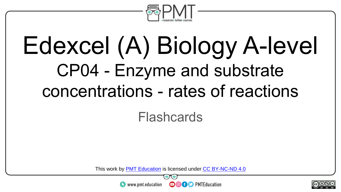

# Edexcel (A) Biology A-level CP04 - Enzyme and substrate concentrations - rates of reactions

#### Flashcards

This work by <u>PMT Education</u> is licensed under CC BY-NC-ND 4.0<br>
www.pmt.education **in the CO CO** PMTEducation



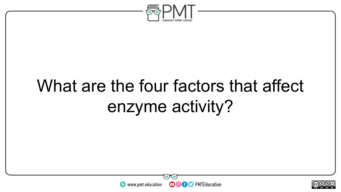

### What are the four factors that affect enzyme activity?



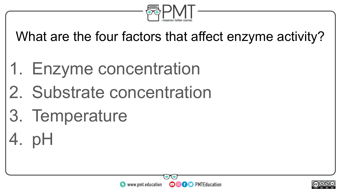

What are the four factors that affect enzyme activity?

- 1. Enzyme concentration
- 2. Substrate concentration
- 3. Temperature
- 4. pH



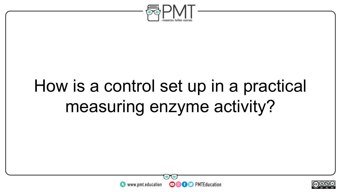

## How is a control set up in a practical measuring enzyme activity?



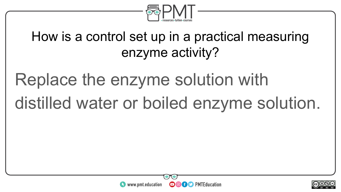

#### How is a control set up in a practical measuring enzyme activity?

# Replace the enzyme solution with distilled water or boiled enzyme solution.



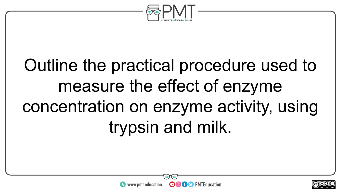

# Outline the practical procedure used to measure the effect of enzyme concentration on enzyme activity, using trypsin and milk.



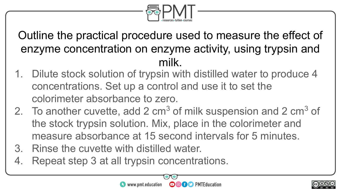

Outline the practical procedure used to measure the effect of enzyme concentration on enzyme activity, using trypsin and milk.

- 1. Dilute stock solution of trypsin with distilled water to produce 4 concentrations. Set up a control and use it to set the colorimeter absorbance to zero.
- 2. To another cuvette, add 2  $cm<sup>3</sup>$  of milk suspension and 2  $cm<sup>3</sup>$  of the stock trypsin solution. Mix, place in the colorimeter and measure absorbance at 15 second intervals for 5 minutes.
- 3. Rinse the cuvette with distilled water.
- 4. Repeat step 3 at all trypsin concentrations.

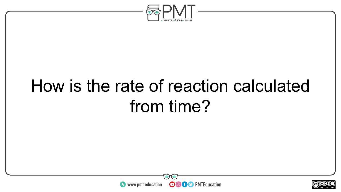

### How is the rate of reaction calculated from time?



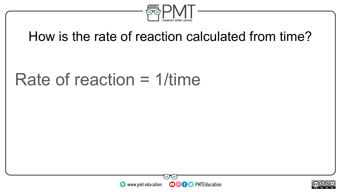

#### How is the rate of reaction calculated from time?

#### Rate of reaction = 1/time



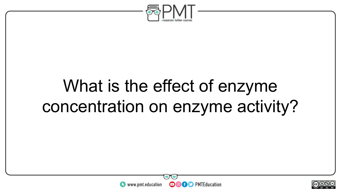

### What is the effect of enzyme concentration on enzyme activity?



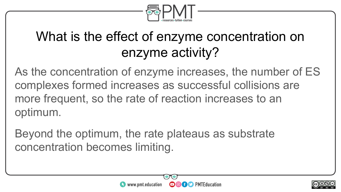

#### What is the effect of enzyme concentration on enzyme activity?

As the concentration of enzyme increases, the number of ES complexes formed increases as successful collisions are more frequent, so the rate of reaction increases to an optimum.

Beyond the optimum, the rate plateaus as substrate concentration becomes limiting.



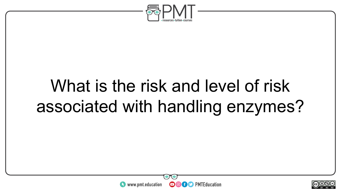

### What is the risk and level of risk associated with handling enzymes?